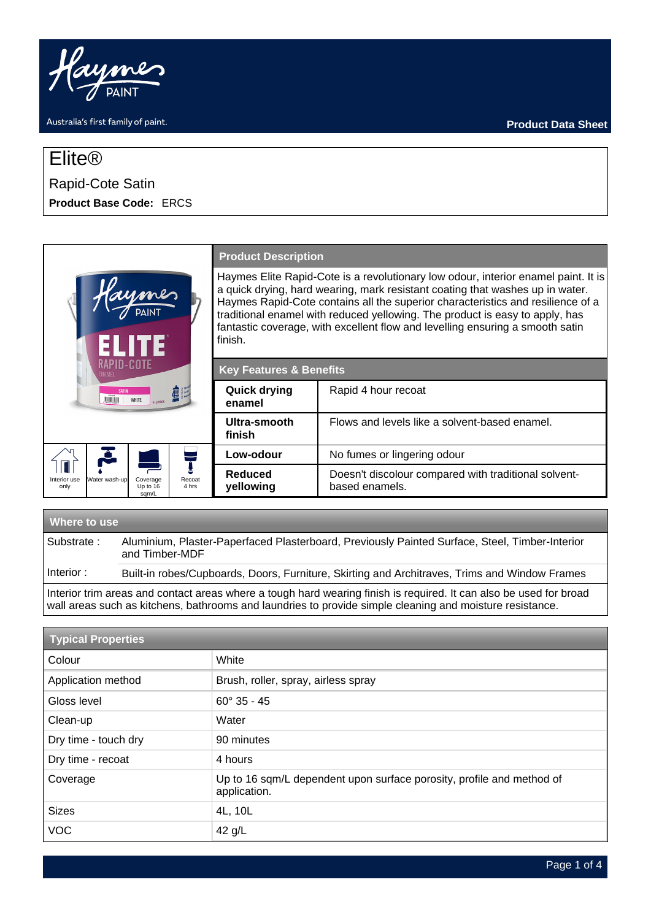

# Elite®

# Rapid-Cote Satin **Product Base Code:** ERCS

|                                                                                           | <b>Product Description</b>                                                                                                                                                                                                                                                                                                                                                                                                         |                                                                        |
|-------------------------------------------------------------------------------------------|------------------------------------------------------------------------------------------------------------------------------------------------------------------------------------------------------------------------------------------------------------------------------------------------------------------------------------------------------------------------------------------------------------------------------------|------------------------------------------------------------------------|
|                                                                                           | Haymes Elite Rapid-Cote is a revolutionary low odour, interior enamel paint. It is<br>a quick drying, hard wearing, mark resistant coating that washes up in water.<br>Haymes Rapid-Cote contains all the superior characteristics and resilience of a<br>traditional enamel with reduced yellowing. The product is easy to apply, has<br>fantastic coverage, with excellent flow and levelling ensuring a smooth satin<br>finish. |                                                                        |
| RAPID-COTE<br><b>ENAMFI</b>                                                               | <b>Key Features &amp; Benefits</b>                                                                                                                                                                                                                                                                                                                                                                                                 |                                                                        |
| <b>SATIN</b><br><b>WINDER</b><br><b>WHITE</b>                                             | <b>Quick drying</b><br>enamel                                                                                                                                                                                                                                                                                                                                                                                                      | Rapid 4 hour recoat                                                    |
|                                                                                           | Ultra-smooth<br>finish                                                                                                                                                                                                                                                                                                                                                                                                             | Flows and levels like a solvent-based enamel.                          |
|                                                                                           | Low-odour                                                                                                                                                                                                                                                                                                                                                                                                                          | No fumes or lingering odour                                            |
| Recoat<br>Water wash-up<br>Coverage<br>Interior use<br>4 hrs<br>Up to 16<br>only<br>sqm/L | Reduced<br>yellowing                                                                                                                                                                                                                                                                                                                                                                                                               | Doesn't discolour compared with traditional solvent-<br>based enamels. |
|                                                                                           |                                                                                                                                                                                                                                                                                                                                                                                                                                    |                                                                        |

# **Where to use** Substrate : Aluminium, Plaster-Paperfaced Plasterboard, Previously Painted Surface, Steel, Timber-Interior and Timber-MDF Interior : Built-in robes/Cupboards, Doors, Furniture, Skirting and Architraves, Trims and Window Frames

Interior trim areas and contact areas where a tough hard wearing finish is required. It can also be used for broad wall areas such as kitchens, bathrooms and laundries to provide simple cleaning and moisture resistance.

| <b>Typical Properties</b> |                                                                                       |  |
|---------------------------|---------------------------------------------------------------------------------------|--|
| Colour                    | White                                                                                 |  |
| Application method        | Brush, roller, spray, airless spray                                                   |  |
| Gloss level               | $60^{\circ}$ 35 - 45                                                                  |  |
| Clean-up                  | Water                                                                                 |  |
| Dry time - touch dry      | 90 minutes                                                                            |  |
| Dry time - recoat         | 4 hours                                                                               |  |
| Coverage                  | Up to 16 sqm/L dependent upon surface porosity, profile and method of<br>application. |  |
| <b>Sizes</b>              | 4L, 10L                                                                               |  |
| <b>VOC</b>                | 42 $g/L$                                                                              |  |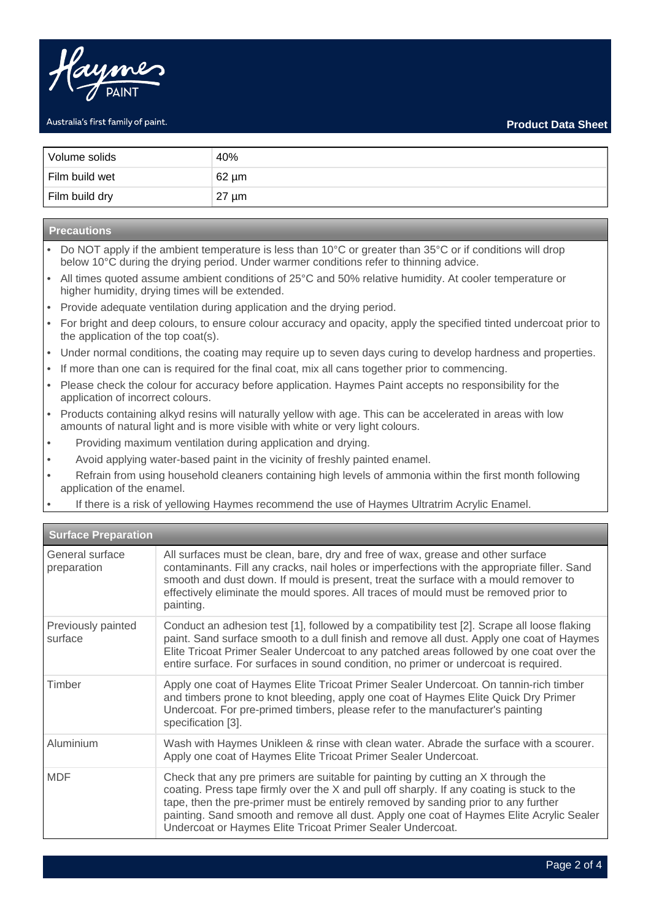

| Volume solids  | 40%        |
|----------------|------------|
| Film build wet | $62 \mu m$ |
| Film build dry | $27 \mu m$ |

# **Precautions**

- Do NOT apply if the ambient temperature is less than 10°C or greater than 35°C or if conditions will drop below 10°C during the drying period. Under warmer conditions refer to thinning advice.
- All times quoted assume ambient conditions of 25°C and 50% relative humidity. At cooler temperature or higher humidity, drying times will be extended.
- Provide adequate ventilation during application and the drying period.
- For bright and deep colours, to ensure colour accuracy and opacity, apply the specified tinted undercoat prior to the application of the top coat(s).
- Under normal conditions, the coating may require up to seven days curing to develop hardness and properties.
- If more than one can is required for the final coat, mix all cans together prior to commencing.
- Please check the colour for accuracy before application. Haymes Paint accepts no responsibility for the application of incorrect colours.
- Products containing alkyd resins will naturally yellow with age. This can be accelerated in areas with low amounts of natural light and is more visible with white or very light colours.
- Providing maximum ventilation during application and drying.
- Avoid applying water-based paint in the vicinity of freshly painted enamel.
- Refrain from using household cleaners containing high levels of ammonia within the first month following application of the enamel.
- If there is a risk of yellowing Haymes recommend the use of Haymes Ultratrim Acrylic Enamel.

| <b>Surface Preparation</b>     |                                                                                                                                                                                                                                                                                                                                                                                                                                |  |
|--------------------------------|--------------------------------------------------------------------------------------------------------------------------------------------------------------------------------------------------------------------------------------------------------------------------------------------------------------------------------------------------------------------------------------------------------------------------------|--|
| General surface<br>preparation | All surfaces must be clean, bare, dry and free of wax, grease and other surface<br>contaminants. Fill any cracks, nail holes or imperfections with the appropriate filler. Sand<br>smooth and dust down. If mould is present, treat the surface with a mould remover to<br>effectively eliminate the mould spores. All traces of mould must be removed prior to<br>painting.                                                   |  |
| Previously painted<br>surface  | Conduct an adhesion test [1], followed by a compatibility test [2]. Scrape all loose flaking<br>paint. Sand surface smooth to a dull finish and remove all dust. Apply one coat of Haymes<br>Elite Tricoat Primer Sealer Undercoat to any patched areas followed by one coat over the<br>entire surface. For surfaces in sound condition, no primer or undercoat is required.                                                  |  |
| Timber                         | Apply one coat of Haymes Elite Tricoat Primer Sealer Undercoat. On tannin-rich timber<br>and timbers prone to knot bleeding, apply one coat of Haymes Elite Quick Dry Primer<br>Undercoat. For pre-primed timbers, please refer to the manufacturer's painting<br>specification [3].                                                                                                                                           |  |
| Aluminium                      | Wash with Haymes Unikleen & rinse with clean water. Abrade the surface with a scourer.<br>Apply one coat of Haymes Elite Tricoat Primer Sealer Undercoat.                                                                                                                                                                                                                                                                      |  |
| <b>MDF</b>                     | Check that any pre primers are suitable for painting by cutting an X through the<br>coating. Press tape firmly over the X and pull off sharply. If any coating is stuck to the<br>tape, then the pre-primer must be entirely removed by sanding prior to any further<br>painting. Sand smooth and remove all dust. Apply one coat of Haymes Elite Acrylic Sealer<br>Undercoat or Haymes Elite Tricoat Primer Sealer Undercoat. |  |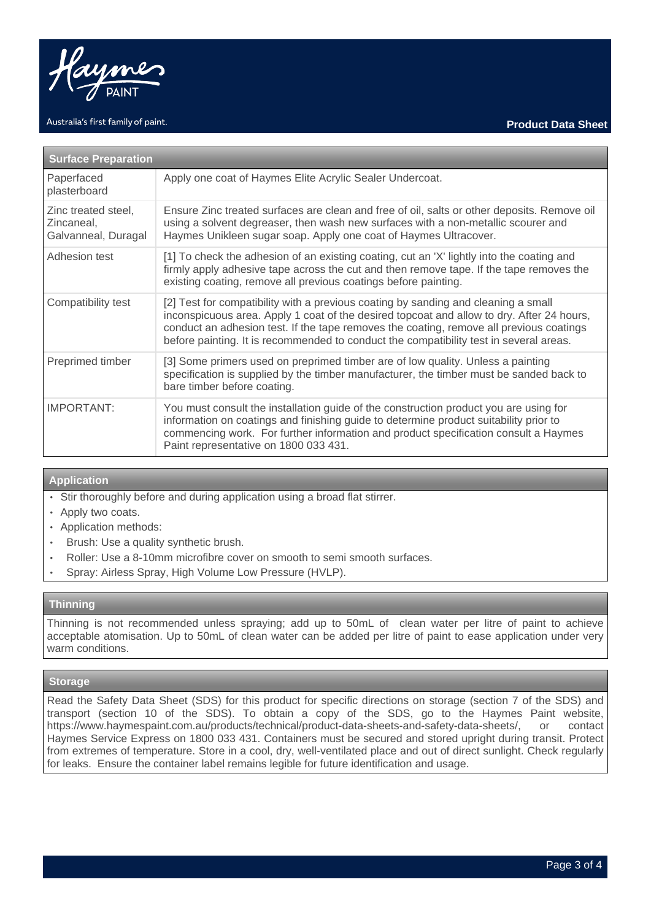

| <b>Surface Preparation</b>                               |                                                                                                                                                                                                                                                                                                                                                                      |  |
|----------------------------------------------------------|----------------------------------------------------------------------------------------------------------------------------------------------------------------------------------------------------------------------------------------------------------------------------------------------------------------------------------------------------------------------|--|
| Paperfaced<br>plasterboard                               | Apply one coat of Haymes Elite Acrylic Sealer Undercoat.                                                                                                                                                                                                                                                                                                             |  |
| Zinc treated steel,<br>Zincaneal,<br>Galvanneal, Duragal | Ensure Zinc treated surfaces are clean and free of oil, salts or other deposits. Remove oil<br>using a solvent degreaser, then wash new surfaces with a non-metallic scourer and<br>Haymes Unikleen sugar soap. Apply one coat of Haymes Ultracover.                                                                                                                 |  |
| Adhesion test                                            | [1] To check the adhesion of an existing coating, cut an 'X' lightly into the coating and<br>firmly apply adhesive tape across the cut and then remove tape. If the tape removes the<br>existing coating, remove all previous coatings before painting.                                                                                                              |  |
| Compatibility test                                       | [2] Test for compatibility with a previous coating by sanding and cleaning a small<br>inconspicuous area. Apply 1 coat of the desired topcoat and allow to dry. After 24 hours,<br>conduct an adhesion test. If the tape removes the coating, remove all previous coatings<br>before painting. It is recommended to conduct the compatibility test in several areas. |  |
| Preprimed timber                                         | [3] Some primers used on preprimed timber are of low quality. Unless a painting<br>specification is supplied by the timber manufacturer, the timber must be sanded back to<br>bare timber before coating.                                                                                                                                                            |  |
| <b>IMPORTANT:</b>                                        | You must consult the installation guide of the construction product you are using for<br>information on coatings and finishing guide to determine product suitability prior to<br>commencing work. For further information and product specification consult a Haymes<br>Paint representative on 1800 033 431.                                                       |  |

# **Application**

- Stir thoroughly before and during application using a broad flat stirrer.
- Apply two coats.
- Application methods:
- Brush: Use a quality synthetic brush.
- Roller: Use a 8-10mm microfibre cover on smooth to semi smooth surfaces.
- Spray: Airless Spray, High Volume Low Pressure (HVLP).

# **Thinning**

Thinning is not recommended unless spraying; add up to 50mL of clean water per litre of paint to achieve acceptable atomisation. Up to 50mL of clean water can be added per litre of paint to ease application under very warm conditions.

# **Storage**

Read the Safety Data Sheet (SDS) for this product for specific directions on storage (section 7 of the SDS) and transport (section 10 of the SDS). To obtain a copy of the SDS, go to the Haymes Paint website, https://www.haymespaint.com.au/products/technical/product-data-sheets-and-safety-data-sheets/, or contact Haymes Service Express on 1800 033 431. Containers must be secured and stored upright during transit. Protect from extremes of temperature. Store in a cool, dry, well-ventilated place and out of direct sunlight. Check regularly for leaks. Ensure the container label remains legible for future identification and usage.